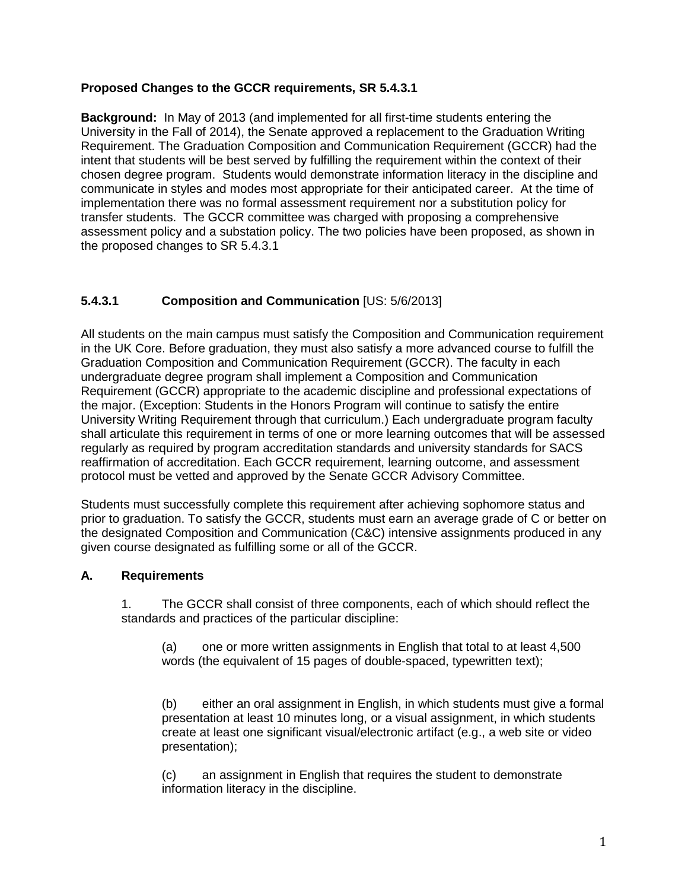#### **Proposed Changes to the GCCR requirements, SR 5.4.3.1**

**Background:** In May of 2013 (and implemented for all first-time students entering the University in the Fall of 2014), the Senate approved a replacement to the Graduation Writing Requirement. The Graduation Composition and Communication Requirement (GCCR) had the intent that students will be best served by fulfilling the requirement within the context of their chosen degree program. Students would demonstrate information literacy in the discipline and communicate in styles and modes most appropriate for their anticipated career. At the time of implementation there was no formal assessment requirement nor a substitution policy for transfer students. The GCCR committee was charged with proposing a comprehensive assessment policy and a substation policy. The two policies have been proposed, as shown in the proposed changes to SR 5.4.3.1

#### **5.4.3.1 Composition and Communication** [US: 5/6/2013]

All students on the main campus must satisfy the Composition and Communication requirement in the UK Core. Before graduation, they must also satisfy a more advanced course to fulfill the Graduation Composition and Communication Requirement (GCCR). The faculty in each undergraduate degree program shall implement a Composition and Communication Requirement (GCCR) appropriate to the academic discipline and professional expectations of the major. (Exception: Students in the Honors Program will continue to satisfy the entire University Writing Requirement through that curriculum.) Each undergraduate program faculty shall articulate this requirement in terms of one or more learning outcomes that will be assessed regularly as required by program accreditation standards and university standards for SACS reaffirmation of accreditation. Each GCCR requirement, learning outcome, and assessment protocol must be vetted and approved by the Senate GCCR Advisory Committee.

Students must successfully complete this requirement after achieving sophomore status and prior to graduation. To satisfy the GCCR, students must earn an average grade of C or better on the designated Composition and Communication (C&C) intensive assignments produced in any given course designated as fulfilling some or all of the GCCR.

#### **A. Requirements**

1. The GCCR shall consist of three components, each of which should reflect the standards and practices of the particular discipline:

(a) one or more written assignments in English that total to at least 4,500 words (the equivalent of 15 pages of double-spaced, typewritten text);

(b) either an oral assignment in English, in which students must give a formal presentation at least 10 minutes long, or a visual assignment, in which students create at least one significant visual/electronic artifact (e.g., a web site or video presentation);

(c) an assignment in English that requires the student to demonstrate information literacy in the discipline.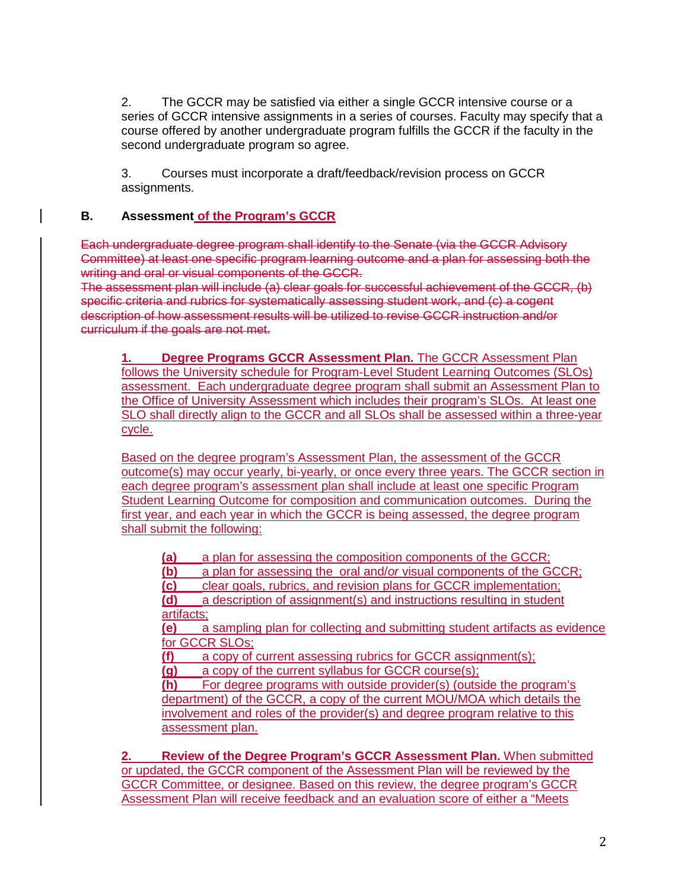2. The GCCR may be satisfied via either a single GCCR intensive course or a series of GCCR intensive assignments in a series of courses. Faculty may specify that a course offered by another undergraduate program fulfills the GCCR if the faculty in the second undergraduate program so agree.

3. Courses must incorporate a draft/feedback/revision process on GCCR assignments.

#### **B. Assessment of the Program's GCCR**

Each undergraduate degree program shall identify to the Senate (via the GCCR Advisory Committee) at least one specific program learning outcome and a plan for assessing both the writing and oral or visual components of the GCCR.

The assessment plan will include (a) clear goals for successful achievement of the GCCR, (b) specific criteria and rubrics for systematically assessing student work, and (c) a cogent description of how assessment results will be utilized to revise GCCR instruction and/or curriculum if the goals are not met.

**1. Degree Programs GCCR Assessment Plan.** The GCCR Assessment Plan follows the University schedule for Program-Level Student Learning Outcomes (SLOs) assessment. Each undergraduate degree program shall submit an Assessment Plan to the Office of University Assessment which includes their program's SLOs. At least one SLO shall directly align to the GCCR and all SLOs shall be assessed within a three-year cycle.

Based on the degree program's Assessment Plan, the assessment of the GCCR outcome(s) may occur yearly, bi-yearly, or once every three years. The GCCR section in each degree program's assessment plan shall include at least one specific Program Student Learning Outcome for composition and communication outcomes. During the first year, and each year in which the GCCR is being assessed, the degree program shall submit the following:

**(a)** a plan for assessing the composition components of the GCCR;

**(b)** a plan for assessing the oral and/*or* visual components of the GCCR;

**(c)** clear goals, rubrics, and revision plans for GCCR implementation;

**(d)** a description of assignment(s) and instructions resulting in student artifacts;

**(e)** a sampling plan for collecting and submitting student artifacts as evidence for GCCR SLOs;

**(f)** a copy of current assessing rubrics for GCCR assignment(s);

**(g)** a copy of the current syllabus for GCCR course(s);

**(h)** For degree programs with outside provider(s) (outside the program's department) of the GCCR, a copy of the current MOU/MOA which details the involvement and roles of the provider(s) and degree program relative to this assessment plan.

**2. Review of the Degree Program's GCCR Assessment Plan.** When submitted or updated, the GCCR component of the Assessment Plan will be reviewed by the GCCR Committee, or designee. Based on this review, the degree program's GCCR Assessment Plan will receive feedback and an evaluation score of either a "Meets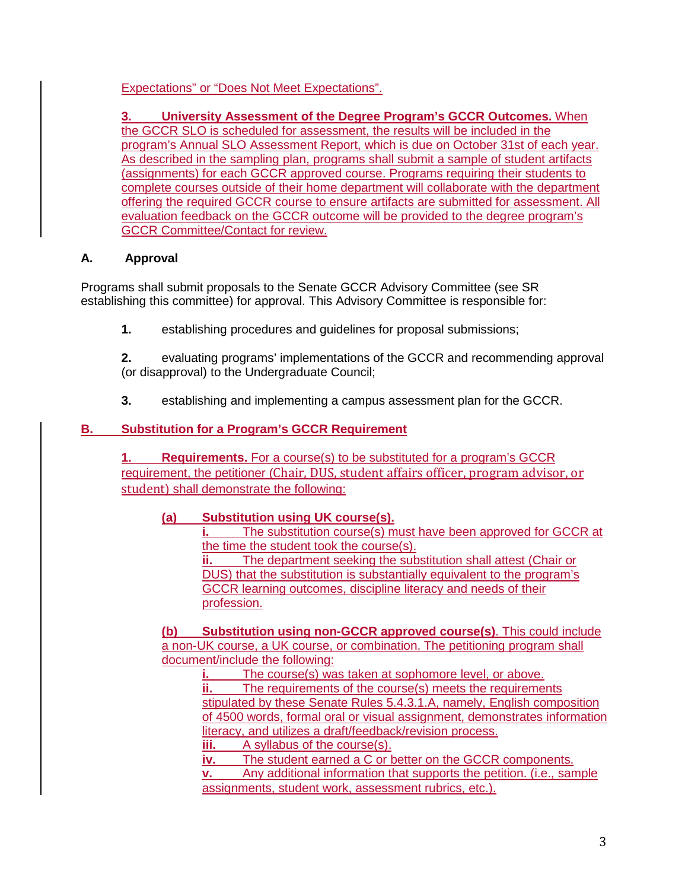## Expectations" or "Does Not Meet Expectations".

**3. University Assessment of the Degree Program's GCCR Outcomes.** When the GCCR SLO is scheduled for assessment, the results will be included in the program's Annual SLO Assessment Report, which is due on October 31st of each year. As described in the sampling plan, programs shall submit a sample of student artifacts (assignments) for each GCCR approved course. Programs requiring their students to complete courses outside of their home department will collaborate with the department offering the required GCCR course to ensure artifacts are submitted for assessment. All evaluation feedback on the GCCR outcome will be provided to the degree program's GCCR Committee/Contact for review.

## **A. Approval**

Programs shall submit proposals to the Senate GCCR Advisory Committee (see SR establishing this committee) for approval. This Advisory Committee is responsible for:

**1.** establishing procedures and guidelines for proposal submissions;

**2.** evaluating programs' implementations of the GCCR and recommending approval (or disapproval) to the Undergraduate Council;

**3.** establishing and implementing a campus assessment plan for the GCCR.

# **B. Substitution for a Program's GCCR Requirement**

**1. Requirements.** For a course(s) to be substituted for a program's GCCR requirement, the petitioner (Chair, DUS, student affairs officer, program advisor, or student) shall demonstrate the following:

## **(a) Substitution using UK course(s).**

**i.** The substitution course(s) must have been approved for GCCR at the time the student took the course(s).

**ii.** The department seeking the substitution shall attest (Chair or DUS) that the substitution is substantially equivalent to the program's GCCR learning outcomes, discipline literacy and needs of their profession.

**(b) Substitution using non-GCCR approved course(s)**. This could include a non-UK course, a UK course, or combination. The petitioning program shall document/include the following:

**i.** The course(s) was taken at sophomore level, or above. **ii.** The requirements of the course(s) meets the requirements stipulated by these Senate Rules 5.4.3.1.A, namely, English composition of 4500 words, formal oral or visual assignment, demonstrates information literacy, and utilizes a draft/feedback/revision process.

**iii.** A syllabus of the course(s).<br>**iv.** The student earned a C or k

The student earned a C or better on the GCCR components.

**v.** Any additional information that supports the petition. (i.e., sample assignments, student work, assessment rubrics, etc.).